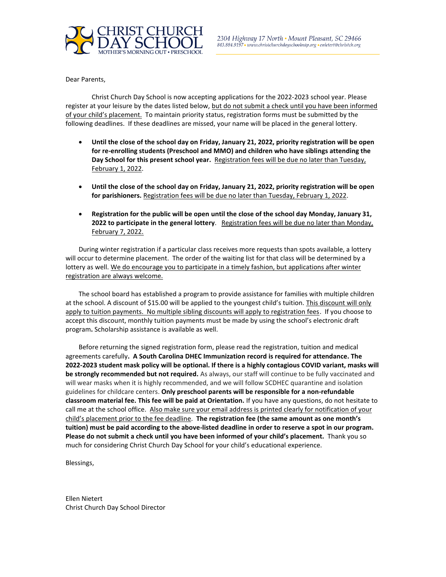

Dear Parents,

Christ Church Day School is now accepting applications for the 2022-2023 school year. Please register at your leisure by the dates listed below, but do not submit a check until you have been informed of your child's placement. To maintain priority status, registration forms must be submitted by the following deadlines. If these deadlines are missed, your name will be placed in the general lottery.

- **Until the close of the school day on Friday, January 21, 2022, priority registration will be open for re-enrolling students (Preschool and MMO) and children who have siblings attending the**  Day School for this present school year. Registration fees will be due no later than Tuesday, February 1, 2022.
- **Until the close of the school day on Friday, January 21, 2022, priority registration will be open for parishioners.** Registration fees will be due no later than Tuesday, February 1, 2022.
- **Registration for the public will be open until the close of the school day Monday, January 31, 2022 to participate in the general lottery**. Registration fees will be due no later than Monday, February 7, 2022.

During winter registration if a particular class receives more requests than spots available, a lottery will occur to determine placement. The order of the waiting list for that class will be determined by a lottery as well. We do encourage you to participate in a timely fashion, but applications after winter registration are always welcome.

The school board has established a program to provide assistance for families with multiple children at the school. A discount of \$15.00 will be applied to the youngest child's tuition. This discount will only apply to tuition payments. No multiple sibling discounts will apply to registration fees. If you choose to accept this discount, monthly tuition payments must be made by using the school's electronic draft program**.** Scholarship assistance is available as well.

Before returning the signed registration form, please read the registration, tuition and medical agreements carefully**. A South Carolina DHEC Immunization record is required for attendance. The 2022-2023 student mask policy will be optional. If there is a highly contagious COVID variant, masks will be strongly recommended but not required.** As always, our staff will continue to be fully vaccinated and will wear masks when it is highly recommended, and we will follow SCDHEC quarantine and isolation guidelines for childcare centers. **Only preschool parents will be responsible for a non-refundable classroom material fee. This fee will be paid at Orientation.** If you have any questions, do not hesitate to call me at the school office. Also make sure your email address is printed clearly for notification of your child's placement prior to the fee deadline. **The registration fee (the same amount as one month's tuition) must be paid according to the above-listed deadline in order to reserve a spot in our program. Please do not submit a check until you have been informed of your child's placement.** Thank you so much for considering Christ Church Day School for your child's educational experience.

Blessings,

Ellen Nietert Christ Church Day School Director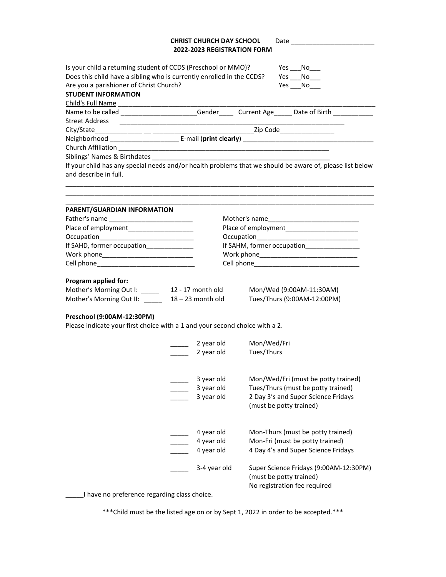## **CHRIST CHURCH DAY SCHOOL** Date \_\_\_\_\_\_\_\_\_\_\_\_\_\_\_\_\_\_\_\_\_\_\_ **2022-2023 REGISTRATION FORM**

| Is your child a returning student of CCDS (Preschool or MMO)?                                                                        |                                           | Yes<br>$No$ <sub>___</sub>                                                                               |  |  |                            |
|--------------------------------------------------------------------------------------------------------------------------------------|-------------------------------------------|----------------------------------------------------------------------------------------------------------|--|--|----------------------------|
| Does this child have a sibling who is currently enrolled in the CCDS?<br>Yes No<br>Are you a parishioner of Christ Church?<br>Yes No |                                           |                                                                                                          |  |  |                            |
|                                                                                                                                      |                                           |                                                                                                          |  |  | <b>STUDENT INFORMATION</b> |
| Child's Full Name                                                                                                                    |                                           |                                                                                                          |  |  |                            |
|                                                                                                                                      |                                           | Name to be called _______________________Gender_______Current Age______ Date of Birth ____________       |  |  |                            |
| <b>Street Address</b>                                                                                                                |                                           |                                                                                                          |  |  |                            |
|                                                                                                                                      |                                           |                                                                                                          |  |  |                            |
|                                                                                                                                      |                                           |                                                                                                          |  |  |                            |
|                                                                                                                                      |                                           |                                                                                                          |  |  |                            |
|                                                                                                                                      |                                           |                                                                                                          |  |  |                            |
|                                                                                                                                      |                                           | If your child has any special needs and/or health problems that we should be aware of, please list below |  |  |                            |
| and describe in full.                                                                                                                |                                           |                                                                                                          |  |  |                            |
|                                                                                                                                      |                                           |                                                                                                          |  |  |                            |
| PARENT/GUARDIAN INFORMATION                                                                                                          |                                           |                                                                                                          |  |  |                            |
|                                                                                                                                      |                                           |                                                                                                          |  |  |                            |
| Place of employment                                                                                                                  | Place of employment                       |                                                                                                          |  |  |                            |
| If SAHD, former occupation_____________                                                                                              |                                           |                                                                                                          |  |  |                            |
|                                                                                                                                      | If SAHM, former occupation_______________ |                                                                                                          |  |  |                            |
|                                                                                                                                      |                                           |                                                                                                          |  |  |                            |
|                                                                                                                                      |                                           |                                                                                                          |  |  |                            |
| Program applied for:                                                                                                                 |                                           |                                                                                                          |  |  |                            |
| Mother's Morning Out I: ______ 12 - 17 month old                                                                                     |                                           | Mon/Wed (9:00AM-11:30AM)                                                                                 |  |  |                            |
| Mother's Morning Out II: 18 - 23 month old                                                                                           |                                           | Tues/Thurs (9:00AM-12:00PM)                                                                              |  |  |                            |
|                                                                                                                                      |                                           |                                                                                                          |  |  |                            |
| Preschool (9:00AM-12:30PM)<br>Please indicate your first choice with a 1 and your second choice with a 2.                            |                                           |                                                                                                          |  |  |                            |
|                                                                                                                                      | 2 year old                                | Mon/Wed/Fri                                                                                              |  |  |                            |
|                                                                                                                                      | 2 year old                                | Tues/Thurs                                                                                               |  |  |                            |
|                                                                                                                                      |                                           |                                                                                                          |  |  |                            |
|                                                                                                                                      | 3 year old                                | Mon/Wed/Fri (must be potty trained)                                                                      |  |  |                            |
|                                                                                                                                      | 3 year old                                | Tues/Thurs (must be potty trained)                                                                       |  |  |                            |
|                                                                                                                                      | 3 year old                                | 2 Day 3's and Super Science Fridays                                                                      |  |  |                            |
|                                                                                                                                      |                                           | (must be potty trained)                                                                                  |  |  |                            |
|                                                                                                                                      |                                           |                                                                                                          |  |  |                            |
|                                                                                                                                      |                                           |                                                                                                          |  |  |                            |
|                                                                                                                                      | 4 year old<br>4 year old                  | Mon-Thurs (must be potty trained)<br>Mon-Fri (must be potty trained)                                     |  |  |                            |
|                                                                                                                                      | 4 year old                                | 4 Day 4's and Super Science Fridays                                                                      |  |  |                            |
|                                                                                                                                      |                                           |                                                                                                          |  |  |                            |
|                                                                                                                                      | 3-4 year old                              | Super Science Fridays (9:00AM-12:30PM)                                                                   |  |  |                            |
|                                                                                                                                      |                                           | (must be potty trained)                                                                                  |  |  |                            |
|                                                                                                                                      |                                           | No registration fee required                                                                             |  |  |                            |
| I have no preference regarding class choice.                                                                                         |                                           |                                                                                                          |  |  |                            |

\*\*\*Child must be the listed age on or by Sept 1, 2022 in order to be accepted.\*\*\*